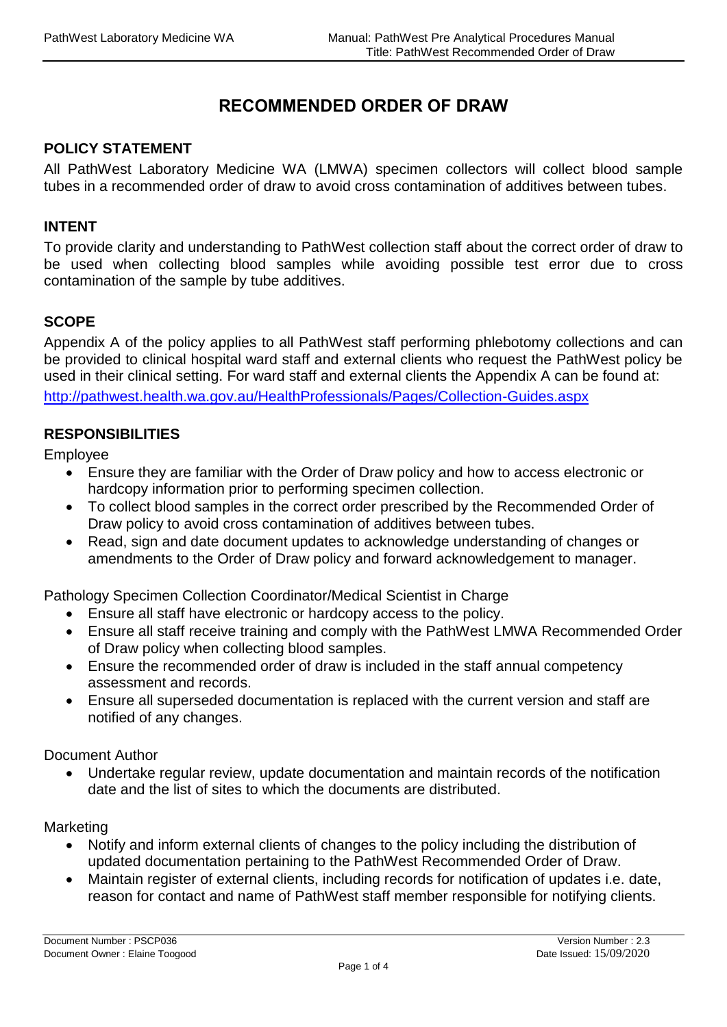# **RECOMMENDED ORDER OF DRAW**

## **POLICY STATEMENT**

All PathWest Laboratory Medicine WA (LMWA) specimen collectors will collect blood sample tubes in a recommended order of draw to avoid cross contamination of additives between tubes.

#### **INTENT**

To provide clarity and understanding to PathWest collection staff about the correct order of draw to be used when collecting blood samples while avoiding possible test error due to cross contamination of the sample by tube additives.

### **SCOPE**

Appendix A of the policy applies to all PathWest staff performing phlebotomy collections and can be provided to clinical hospital ward staff and external clients who request the PathWest policy be used in their clinical setting. For ward staff and external clients the Appendix A can be found at: <http://pathwest.health.wa.gov.au/HealthProfessionals/Pages/Collection-Guides.aspx>

### **RESPONSIBILITIES**

Employee

- Ensure they are familiar with the Order of Draw policy and how to access electronic or hardcopy information prior to performing specimen collection.
- To collect blood samples in the correct order prescribed by the Recommended Order of Draw policy to avoid cross contamination of additives between tubes.
- Read, sign and date document updates to acknowledge understanding of changes or amendments to the Order of Draw policy and forward acknowledgement to manager.

Pathology Specimen Collection Coordinator/Medical Scientist in Charge

- Ensure all staff have electronic or hardcopy access to the policy.
- Ensure all staff receive training and comply with the PathWest LMWA Recommended Order of Draw policy when collecting blood samples.
- Ensure the recommended order of draw is included in the staff annual competency assessment and records.
- Ensure all superseded documentation is replaced with the current version and staff are notified of any changes.

### Document Author

 Undertake regular review, update documentation and maintain records of the notification date and the list of sites to which the documents are distributed.

#### Marketing

- Notify and inform external clients of changes to the policy including the distribution of updated documentation pertaining to the PathWest Recommended Order of Draw.
- Maintain register of external clients, including records for notification of updates i.e. date, reason for contact and name of PathWest staff member responsible for notifying clients.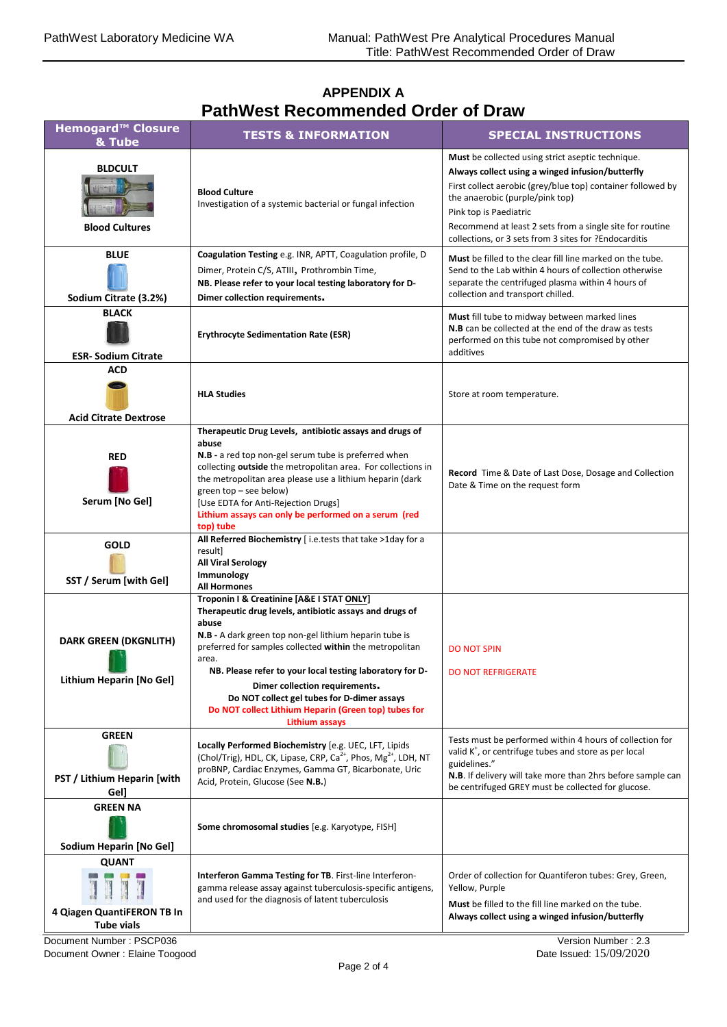## **APPENDIX A PathWest Recommended Order of Draw**

| <b>Hemogard™ Closure</b><br>& Tube                              | <b>TESTS &amp; INFORMATION</b>                                                                                                                                                                                                                                                                                                                                                                                                                                            | <b>SPECIAL INSTRUCTIONS</b>                                                                                                                                                                                                                                                                                                                            |
|-----------------------------------------------------------------|---------------------------------------------------------------------------------------------------------------------------------------------------------------------------------------------------------------------------------------------------------------------------------------------------------------------------------------------------------------------------------------------------------------------------------------------------------------------------|--------------------------------------------------------------------------------------------------------------------------------------------------------------------------------------------------------------------------------------------------------------------------------------------------------------------------------------------------------|
| <b>BLDCULT</b><br><b>Blood Cultures</b>                         | <b>Blood Culture</b><br>Investigation of a systemic bacterial or fungal infection                                                                                                                                                                                                                                                                                                                                                                                         | Must be collected using strict aseptic technique.<br>Always collect using a winged infusion/butterfly<br>First collect aerobic (grey/blue top) container followed by<br>the anaerobic (purple/pink top)<br>Pink top is Paediatric<br>Recommend at least 2 sets from a single site for routine<br>collections, or 3 sets from 3 sites for ?Endocarditis |
| <b>BLUE</b><br>Sodium Citrate (3.2%)                            | Coagulation Testing e.g. INR, APTT, Coagulation profile, D<br>Dimer, Protein C/S, ATIII, Prothrombin Time,<br>NB. Please refer to your local testing laboratory for D-<br>Dimer collection requirements.                                                                                                                                                                                                                                                                  | Must be filled to the clear fill line marked on the tube.<br>Send to the Lab within 4 hours of collection otherwise<br>separate the centrifuged plasma within 4 hours of<br>collection and transport chilled.                                                                                                                                          |
| <b>BLACK</b><br><b>ESR-Sodium Citrate</b>                       | <b>Erythrocyte Sedimentation Rate (ESR)</b>                                                                                                                                                                                                                                                                                                                                                                                                                               | Must fill tube to midway between marked lines<br>N.B can be collected at the end of the draw as tests<br>performed on this tube not compromised by other<br>additives                                                                                                                                                                                  |
| ACD<br><b>Acid Citrate Dextrose</b>                             | <b>HLA Studies</b>                                                                                                                                                                                                                                                                                                                                                                                                                                                        | Store at room temperature.                                                                                                                                                                                                                                                                                                                             |
| <b>RED</b><br>Serum [No Gel]                                    | Therapeutic Drug Levels, antibiotic assays and drugs of<br>abuse<br>N.B - a red top non-gel serum tube is preferred when<br>collecting outside the metropolitan area. For collections in<br>the metropolitan area please use a lithium heparin (dark<br>green top - see below)<br>[Use EDTA for Anti-Rejection Drugs]<br>Lithium assays can only be performed on a serum (red<br>top) tube                                                                                | Record Time & Date of Last Dose, Dosage and Collection<br>Date & Time on the request form                                                                                                                                                                                                                                                              |
| <b>GOLD</b><br>SST / Serum [with Gel]                           | All Referred Biochemistry [i.e.tests that take >1day for a<br>result]<br><b>All Viral Serology</b><br>Immunology<br><b>All Hormones</b>                                                                                                                                                                                                                                                                                                                                   |                                                                                                                                                                                                                                                                                                                                                        |
| <b>DARK GREEN (DKGNLITH)</b><br>Lithium Heparin [No Gel]        | Troponin I & Creatinine [A&E I STAT ONLY]<br>Therapeutic drug levels, antibiotic assays and drugs of<br>abuse<br>N.B - A dark green top non-gel lithium heparin tube is<br>preferred for samples collected within the metropolitan<br>area.<br>NB. Please refer to your local testing laboratory for D-<br>Dimer collection requirements.<br>Do NOT collect gel tubes for D-dimer assays<br>Do NOT collect Lithium Heparin (Green top) tubes for<br><b>Lithium assays</b> | <b>DO NOT SPIN</b><br><b>DO NOT REFRIGERATE</b>                                                                                                                                                                                                                                                                                                        |
| <b>GREEN</b><br>PST / Lithium Heparin [with<br>Gel]             | Locally Performed Biochemistry [e.g. UEC, LFT, Lipids<br>(Chol/Trig), HDL, CK, Lipase, CRP, Ca <sup>2+</sup> , Phos, Mg <sup>2+</sup> , LDH, NT<br>proBNP, Cardiac Enzymes, Gamma GT, Bicarbonate, Uric<br>Acid, Protein, Glucose (See N.B.)                                                                                                                                                                                                                              | Tests must be performed within 4 hours of collection for<br>valid K <sup>+</sup> , or centrifuge tubes and store as per local<br>guidelines."<br>N.B. If delivery will take more than 2hrs before sample can<br>be centrifuged GREY must be collected for glucose.                                                                                     |
| <b>GREEN NA</b><br>Sodium Heparin [No Gel]                      | Some chromosomal studies [e.g. Karyotype, FISH]                                                                                                                                                                                                                                                                                                                                                                                                                           |                                                                                                                                                                                                                                                                                                                                                        |
| <b>QUANT</b><br>4 Qiagen QuantiFERON TB In<br><b>Tube vials</b> | Interferon Gamma Testing for TB. First-line Interferon-<br>gamma release assay against tuberculosis-specific antigens,<br>and used for the diagnosis of latent tuberculosis                                                                                                                                                                                                                                                                                               | Order of collection for Quantiferon tubes: Grey, Green,<br>Yellow, Purple<br>Must be filled to the fill line marked on the tube.<br>Always collect using a winged infusion/butterfly                                                                                                                                                                   |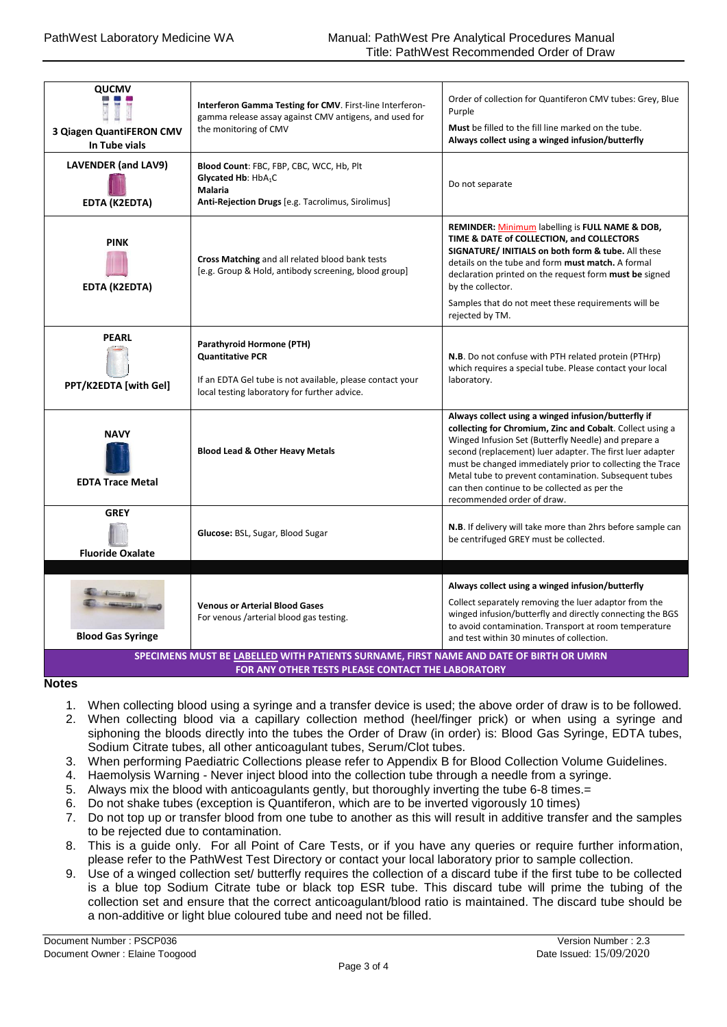| <b>QUCMV</b><br>3 Qiagen QuantiFERON CMV<br>In Tube vials                                                                                   | Interferon Gamma Testing for CMV. First-line Interferon-<br>gamma release assay against CMV antigens, and used for<br>the monitoring of CMV                       | Order of collection for Quantiferon CMV tubes: Grey, Blue<br>Purple<br>Must be filled to the fill line marked on the tube.<br>Always collect using a winged infusion/butterfly                                                                                                                                                                                                                                                            |  |
|---------------------------------------------------------------------------------------------------------------------------------------------|-------------------------------------------------------------------------------------------------------------------------------------------------------------------|-------------------------------------------------------------------------------------------------------------------------------------------------------------------------------------------------------------------------------------------------------------------------------------------------------------------------------------------------------------------------------------------------------------------------------------------|--|
| <b>LAVENDER (and LAV9)</b><br><b>EDTA (K2EDTA)</b>                                                                                          | Blood Count: FBC, FBP, CBC, WCC, Hb, Plt<br>Glycated Hb: HbA <sub>1</sub> C<br>Malaria<br>Anti-Rejection Drugs [e.g. Tacrolimus, Sirolimus]                       | Do not separate                                                                                                                                                                                                                                                                                                                                                                                                                           |  |
| <b>PINK</b><br><b>EDTA (K2EDTA)</b>                                                                                                         | Cross Matching and all related blood bank tests<br>[e.g. Group & Hold, antibody screening, blood group]                                                           | REMINDER: Minimum labelling is FULL NAME & DOB,<br>TIME & DATE of COLLECTION, and COLLECTORS<br>SIGNATURE/ INITIALS on both form & tube. All these<br>details on the tube and form must match. A formal<br>declaration printed on the request form must be signed<br>by the collector.<br>Samples that do not meet these requirements will be                                                                                             |  |
|                                                                                                                                             |                                                                                                                                                                   | rejected by TM.                                                                                                                                                                                                                                                                                                                                                                                                                           |  |
| <b>PEARL</b><br>PPT/K2EDTA [with Gel]                                                                                                       | Parathyroid Hormone (PTH)<br><b>Quantitative PCR</b><br>If an EDTA Gel tube is not available, please contact your<br>local testing laboratory for further advice. | N.B. Do not confuse with PTH related protein (PTHrp)<br>which requires a special tube. Please contact your local<br>laboratory.                                                                                                                                                                                                                                                                                                           |  |
| <b>NAVY</b><br><b>EDTA Trace Metal</b>                                                                                                      | <b>Blood Lead &amp; Other Heavy Metals</b>                                                                                                                        | Always collect using a winged infusion/butterfly if<br>collecting for Chromium, Zinc and Cobalt. Collect using a<br>Winged Infusion Set (Butterfly Needle) and prepare a<br>second (replacement) luer adapter. The first luer adapter<br>must be changed immediately prior to collecting the Trace<br>Metal tube to prevent contamination. Subsequent tubes<br>can then continue to be collected as per the<br>recommended order of draw. |  |
| <b>GREY</b><br><b>Fluoride Oxalate</b>                                                                                                      | Glucose: BSL, Sugar, Blood Sugar                                                                                                                                  | N.B. If delivery will take more than 2hrs before sample can<br>be centrifuged GREY must be collected.                                                                                                                                                                                                                                                                                                                                     |  |
|                                                                                                                                             |                                                                                                                                                                   |                                                                                                                                                                                                                                                                                                                                                                                                                                           |  |
| <b>Blood Gas Syringe</b>                                                                                                                    | <b>Venous or Arterial Blood Gases</b><br>For venous /arterial blood gas testing.                                                                                  | Always collect using a winged infusion/butterfly<br>Collect separately removing the luer adaptor from the<br>winged infusion/butterfly and directly connecting the BGS<br>to avoid contamination. Transport at room temperature<br>and test within 30 minutes of collection.                                                                                                                                                              |  |
| SPECIMENS MUST BE LABELLED WITH PATIENTS SURNAME, FIRST NAME AND DATE OF BIRTH OR UMRN<br>FOR ANY OTHER TESTS PLEASE CONTACT THE LABORATORY |                                                                                                                                                                   |                                                                                                                                                                                                                                                                                                                                                                                                                                           |  |

**Notes**

- 1. When collecting blood using a syringe and a transfer device is used; the above order of draw is to be followed.
- 2. When collecting blood via a capillary collection method (heel/finger prick) or when using a syringe and siphoning the bloods directly into the tubes the Order of Draw (in order) is: Blood Gas Syringe, EDTA tubes, Sodium Citrate tubes, all other anticoagulant tubes, Serum/Clot tubes.
- 3. When performing Paediatric Collections please refer to Appendix B for Blood Collection Volume Guidelines.
- 4. Haemolysis Warning Never inject blood into the collection tube through a needle from a syringe.
- 5. Always mix the blood with anticoagulants gently, but thoroughly inverting the tube 6-8 times.=
- 6. Do not shake tubes (exception is Quantiferon, which are to be inverted vigorously 10 times)
- 7. Do not top up or transfer blood from one tube to another as this will result in additive transfer and the samples to be rejected due to contamination.
- 8. This is a guide only. For all Point of Care Tests, or if you have any queries or require further information, please refer to the PathWest Test Directory or contact your local laboratory prior to sample collection.
- 9. Use of a winged collection set/ butterfly requires the collection of a discard tube if the first tube to be collected is a blue top Sodium Citrate tube or black top ESR tube. This discard tube will prime the tubing of the collection set and ensure that the correct anticoagulant/blood ratio is maintained. The discard tube should be a non-additive or light blue coloured tube and need not be filled.